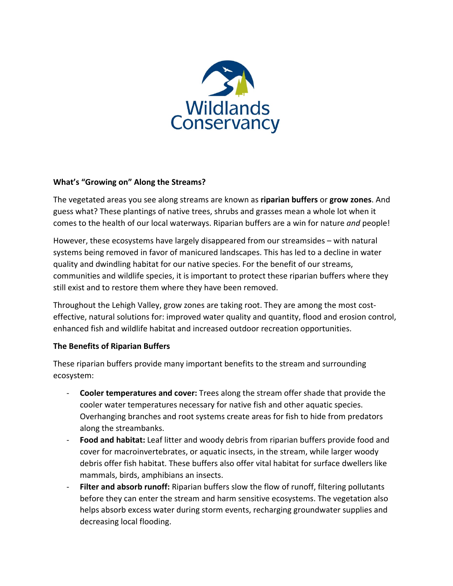

## **What's "Growing on" Along the Streams?**

The vegetated areas you see along streams are known as **riparian buffers** or **grow zones**. And guess what? These plantings of native trees, shrubs and grasses mean a whole lot when it comes to the health of our local waterways. Riparian buffers are a win for nature *and* people!

However, these ecosystems have largely disappeared from our streamsides – with natural systems being removed in favor of manicured landscapes. This has led to a decline in water quality and dwindling habitat for our native species. For the benefit of our streams, communities and wildlife species, it is important to protect these riparian buffers where they still exist and to restore them where they have been removed.

Throughout the Lehigh Valley, grow zones are taking root. They are among the most costeffective, natural solutions for: improved water quality and quantity, flood and erosion control, enhanced fish and wildlife habitat and increased outdoor recreation opportunities.

## **The Benefits of Riparian Buffers**

These riparian buffers provide many important benefits to the stream and surrounding ecosystem:

- **Cooler temperatures and cover:** Trees along the stream offer shade that provide the cooler water temperatures necessary for native fish and other aquatic species. Overhanging branches and root systems create areas for fish to hide from predators along the streambanks.
- **Food and habitat:** Leaf litter and woody debris from riparian buffers provide food and cover for macroinvertebrates, or aquatic insects, in the stream, while larger woody debris offer fish habitat. These buffers also offer vital habitat for surface dwellers like mammals, birds, amphibians an insects.
- **Filter and absorb runoff:** Riparian buffers slow the flow of runoff, filtering pollutants before they can enter the stream and harm sensitive ecosystems. The vegetation also helps absorb excess water during storm events, recharging groundwater supplies and decreasing local flooding.